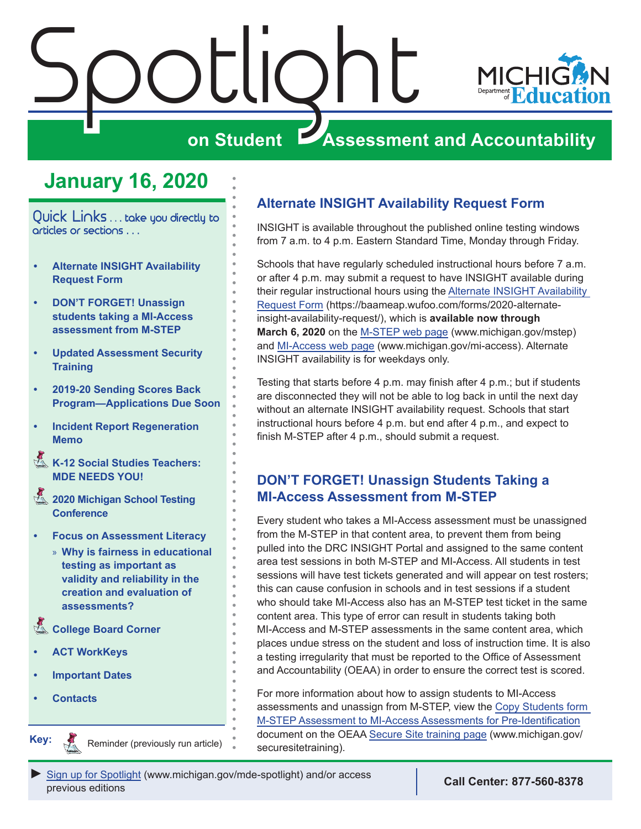<span id="page-0-0"></span>

## **January 16, 2020**

Quick Links . . . take you directly to articles or sections . . .

- <span id="page-0-1"></span>**• Alternate INSIGHT Availability Request Form**
- **• DON'T FORGET! Unassign students taking a MI-Access assessment from M-STEP**
- **• [Updated Assessment Security](#page-1-0)  [Training](#page-1-0)**
- **• [2019-20 Sending Scores Back](#page-1-0)  [Program—Applications Due Soon](#page-1-0)**
- **• [Incident Report Regeneration](#page-2-0)  [Memo](#page-2-0)**
- Reminders **[K-12 Social Studies Teachers:](#page-3-0)  [MDE NEEDS YOU!](#page-3-0)**
- Reminders **[2020 Michigan School Testing](#page-3-0)  [Conference](#page-3-0)**
- **• [Focus on Assessment Literacy](#page-4-0)**
	- » **[Why is fairness in educational](#page-4-0)  [testing as important as](#page-4-0)  [validity and reliability in the](#page-4-0)  [creation and evaluation of](#page-4-0)  [assessments?](#page-4-0)**
- **College Board Corner**
- **• [ACT WorkKeys](#page-7-0)**
- **• [Important Dates](#page-8-0)**
- **• [Contacts](#page-9-0)**

Reminders

**Key:**

Reminder (previously run article)

### **Alternate INSIGHT Availability Request Form**

INSIGHT is available throughout the published online testing windows from 7 a.m. to 4 p.m. Eastern Standard Time, Monday through Friday.

Schools that have regularly scheduled instructional hours before 7 a.m. or after 4 p.m. may submit a request to have INSIGHT available during their regular instructional hours using the [Alternate INSIGHT Availability](https://baameap.wufoo.com/forms/2020-alternate-insight-availability-request/)  [Request Form](https://baameap.wufoo.com/forms/2020-alternate-insight-availability-request/) (https://baameap.wufoo.com/forms/2020-alternateinsight-availability-request/), which is **available now through March 6, 2020** on the [M-STEP web page](www.michigan.gov/mstep) (www.michigan.gov/mstep) and [MI-Access web page](http://www.michigan.gov/mi-access) (www.michigan.gov/mi-access). Alternate INSIGHT availability is for weekdays only.

Testing that starts before 4 p.m. may finish after 4 p.m.; but if students are disconnected they will not be able to log back in until the next day without an alternate INSIGHT availability request. Schools that start instructional hours before 4 p.m. but end after 4 p.m., and expect to finish M-STEP after 4 p.m., should submit a request.

### **DON'T FORGET! Unassign Students Taking a MI-Access Assessment from M-STEP**

Every student who takes a MI-Access assessment must be unassigned from the M-STEP in that content area, to prevent them from being pulled into the DRC INSIGHT Portal and assigned to the same content area test sessions in both M-STEP and MI-Access. All students in test sessions will have test tickets generated and will appear on test rosters; this can cause confusion in schools and in test sessions if a student who should take MI-Access also has an M-STEP test ticket in the same content area. This type of error can result in students taking both MI-Access and M-STEP assessments in the same content area, which places undue stress on the student and loss of instruction time. It is also a testing irregularity that must be reported to the Office of Assessment and Accountability (OEAA) in order to ensure the correct test is scored.

For more information about how to assign students to MI-Access assessments and unassign from M-STEP, view the [Copy Students form](https://www.michigan.gov/documents/mde/MI_Access_Mass_Update_Assessments_quick_Reference_509800_7.pdf)  [M-STEP Assessment to MI-Access Assessments for Pre-Identification](https://www.michigan.gov/documents/mde/MI_Access_Mass_Update_Assessments_quick_Reference_509800_7.pdf) document on the OEAA [Secure Site training page](http://www.michigan.gov/securesitetraining) (www.michigan.gov/ securesitetraining).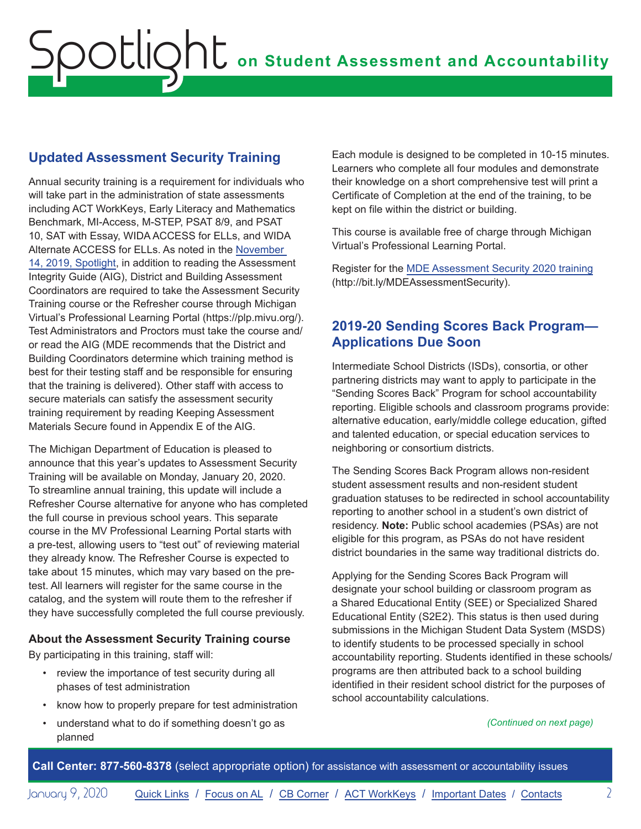## <span id="page-1-0"></span>**Updated Assessment Security Training**

Annual security training is a requirement for individuals who will take part in the administration of state assessments including ACT WorkKeys, Early Literacy and Mathematics Benchmark, MI-Access, M-STEP, PSAT 8/9, and PSAT 10, SAT with Essay, WIDA ACCESS for ELLs, and WIDA Alternate ACCESS for ELLs. As noted in the [November](https://gcc01.safelinks.protection.outlook.com/?url=https%3A%2F%2Fwww.michigan.gov%2Fdocuments%2Fmde%2FSpotlight_11-14-19_671461_7.pdf&data=02%7C01%7CFenbyJ%40michigan.gov%7C0a1a376dd0014242bcd408d799115186%7Cd5fb7087377742ad966a892ef47225d1%7C0%7C0%7C637146171962694869&sdata=n%2FjDSDi5LtbdjIByxnOtuwKMMcksynmsg0%2Fe7NNzn1o%3D&reserved=0)  [14, 2019, Spotlight,](https://gcc01.safelinks.protection.outlook.com/?url=https%3A%2F%2Fwww.michigan.gov%2Fdocuments%2Fmde%2FSpotlight_11-14-19_671461_7.pdf&data=02%7C01%7CFenbyJ%40michigan.gov%7C0a1a376dd0014242bcd408d799115186%7Cd5fb7087377742ad966a892ef47225d1%7C0%7C0%7C637146171962694869&sdata=n%2FjDSDi5LtbdjIByxnOtuwKMMcksynmsg0%2Fe7NNzn1o%3D&reserved=0) in addition to reading the Assessment Integrity Guide (AIG), District and Building Assessment Coordinators are required to take the Assessment Security Training course or the Refresher course through Michigan Virtual's Professional Learning Portal (https://plp.mivu.org/). Test Administrators and Proctors must take the course and/ or read the AIG (MDE recommends that the District and Building Coordinators determine which training method is best for their testing staff and be responsible for ensuring that the training is delivered). Other staff with access to secure materials can satisfy the assessment security training requirement by reading Keeping Assessment Materials Secure found in Appendix E of the AIG.

The Michigan Department of Education is pleased to announce that this year's updates to Assessment Security Training will be available on Monday, January 20, 2020. To streamline annual training, this update will include a Refresher Course alternative for anyone who has completed the full course in previous school years. This separate course in the MV Professional Learning Portal starts with a pre-test, allowing users to "test out" of reviewing material they already know. The Refresher Course is expected to take about 15 minutes, which may vary based on the pretest. All learners will register for the same course in the catalog, and the system will route them to the refresher if they have successfully completed the full course previously.

#### **About the Assessment Security Training course**

By participating in this training, staff will:

- review the importance of test security during all phases of test administration
- know how to properly prepare for test administration
- understand what to do if something doesn't go as planned

Each module is designed to be completed in 10-15 minutes. Learners who complete all four modules and demonstrate their knowledge on a short comprehensive test will print a Certificate of Completion at the end of the training, to be kept on file within the district or building.

This course is available free of charge through Michigan Virtual's Professional Learning Portal.

Register for the [MDE Assessment Security 2020 training](http://bit.ly/MDEAssessmentSecurity) (http://bit.ly/MDEAssessmentSecurity).

### **2019-20 Sending Scores Back Program— Applications Due Soon**

Intermediate School Districts (ISDs), consortia, or other partnering districts may want to apply to participate in the "Sending Scores Back" Program for school accountability reporting. Eligible schools and classroom programs provide: alternative education, early/middle college education, gifted and talented education, or special education services to neighboring or consortium districts.

The Sending Scores Back Program allows non-resident student assessment results and non-resident student graduation statuses to be redirected in school accountability reporting to another school in a student's own district of residency. **Note:** Public school academies (PSAs) are not eligible for this program, as PSAs do not have resident district boundaries in the same way traditional districts do.

Applying for the Sending Scores Back Program will designate your school building or classroom program as a Shared Educational Entity (SEE) or Specialized Shared Educational Entity (S2E2). This status is then used during submissions in the Michigan Student Data System (MSDS) to identify students to be processed specially in school accountability reporting. Students identified in these schools/ programs are then attributed back to a school building identified in their resident school district for the purposes of school accountability calculations.

#### *(Continued on next page)*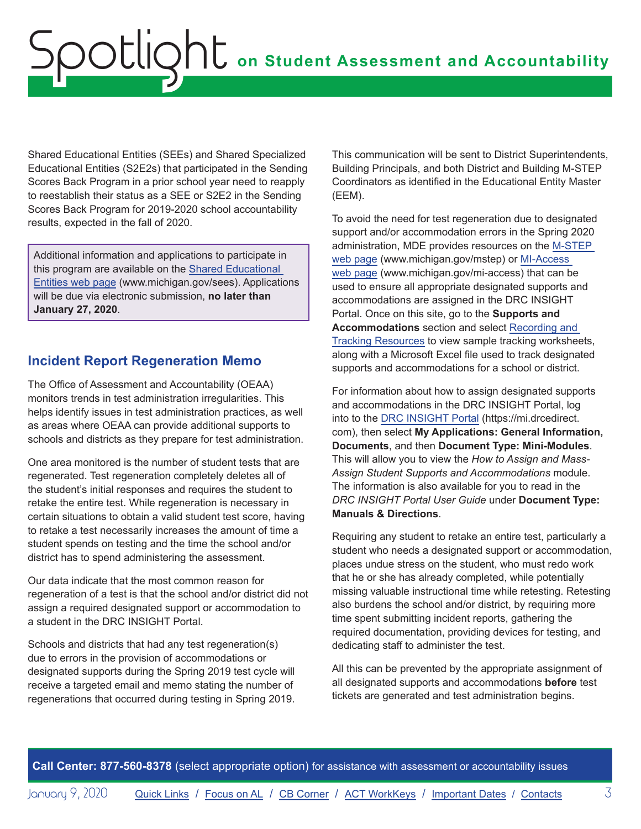<span id="page-2-0"></span>Shared Educational Entities (SEEs) and Shared Specialized Educational Entities (S2E2s) that participated in the Sending Scores Back Program in a prior school year need to reapply to reestablish their status as a SEE or S2E2 in the Sending Scores Back Program for 2019-2020 school accountability results, expected in the fall of 2020.

Additional information and applications to participate in this program are available on the [Shared Educational](http://www.michigan.gov/sees)  [Entities web page](http://www.michigan.gov/sees) (www.michigan.gov/sees). Applications will be due via electronic submission, **no later than January 27, 2020**.

### **Incident Report Regeneration Memo**

The Office of Assessment and Accountability (OEAA) monitors trends in test administration irregularities. This helps identify issues in test administration practices, as well as areas where OEAA can provide additional supports to schools and districts as they prepare for test administration.

One area monitored is the number of student tests that are regenerated. Test regeneration completely deletes all of the student's initial responses and requires the student to retake the entire test. While regeneration is necessary in certain situations to obtain a valid student test score, having to retake a test necessarily increases the amount of time a student spends on testing and the time the school and/or district has to spend administering the assessment.

Our data indicate that the most common reason for regeneration of a test is that the school and/or district did not assign a required designated support or accommodation to a student in the DRC INSIGHT Portal.

Schools and districts that had any test regeneration(s) due to errors in the provision of accommodations or designated supports during the Spring 2019 test cycle will receive a targeted email and memo stating the number of regenerations that occurred during testing in Spring 2019.

This communication will be sent to District Superintendents, Building Principals, and both District and Building M-STEP Coordinators as identified in the Educational Entity Master (EEM).

To avoid the need for test regeneration due to designated support and/or accommodation errors in the Spring 2020 administration, MDE provides resources on the [M-STEP](www.michigan.gov/mstep)  [web page](www.michigan.gov/mstep) (www.michigan.gov/mstep) or [MI-Access](http://www.michigan.gov/mi-access)  [web page](http://www.michigan.gov/mi-access) (www.michigan.gov/mi-access) that can be used to ensure all appropriate designated supports and accommodations are assigned in the DRC INSIGHT Portal. Once on this site, go to the **Supports and Accommodations** section and select [Recording and](https://www.michigan.gov/mde/0,4615,7-140-22709_70117-347506--,00.html)  [Tracking Resources](https://www.michigan.gov/mde/0,4615,7-140-22709_70117-347506--,00.html) to view sample tracking worksheets, along with a Microsoft Excel file used to track designated supports and accommodations for a school or district.

For information about how to assign designated supports and accommodations in the DRC INSIGHT Portal, log into to the [DRC INSIGHT Portal](https://mi.drcedirect.com) (https://mi.drcedirect. com), then select **My Applications: General Information, Documents**, and then **Document Type: Mini-Modules**. This will allow you to view the *How to Assign and Mass-Assign Student Supports and Accommodations* module. The information is also available for you to read in the *DRC INSIGHT Portal User Guide* under **Document Type: Manuals & Directions**.

Requiring any student to retake an entire test, particularly a student who needs a designated support or accommodation, places undue stress on the student, who must redo work that he or she has already completed, while potentially missing valuable instructional time while retesting. Retesting also burdens the school and/or district, by requiring more time spent submitting incident reports, gathering the required documentation, providing devices for testing, and dedicating staff to administer the test.

All this can be prevented by the appropriate assignment of all designated supports and accommodations **before** test tickets are generated and test administration begins.

**Call Center: 877-560-8378** (select appropriate option) for assistance with assessment or accountability issues

January 9, 2020 **[Quick Links](#page-0-0) / [Focus on AL](#page-4-0) / [CB Corner](#page-5-1) / [ACT WorkKeys](#page-7-0) / [Important Dates](#page-8-1) / [Contacts](#page-9-1)** 3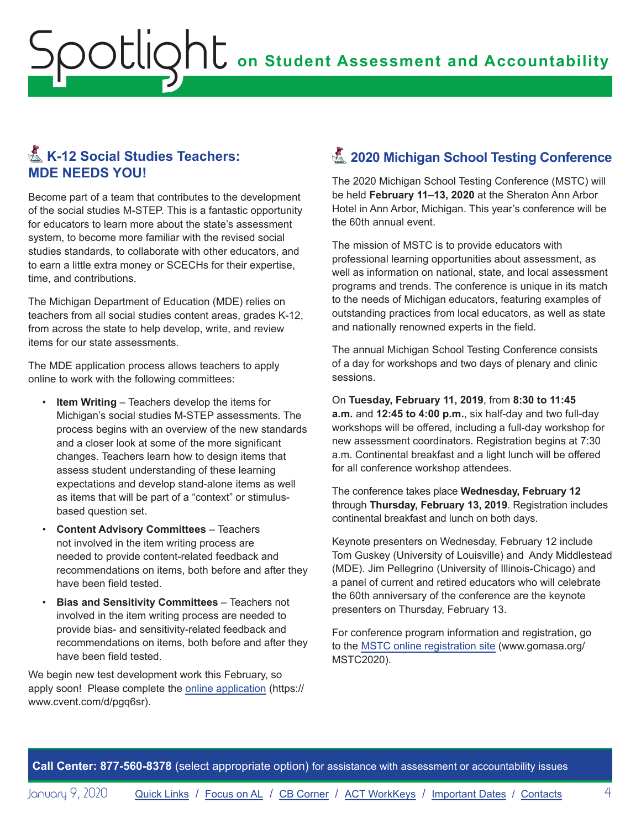## <span id="page-3-0"></span>K-12 Social Studies Teachers: **MDE NEEDS YOU!**

Become part of a team that contributes to the development of the social studies M-STEP. This is a fantastic opportunity for educators to learn more about the state's assessment system, to become more familiar with the revised social studies standards, to collaborate with other educators, and to earn a little extra money or SCECHs for their expertise, time, and contributions.

The Michigan Department of Education (MDE) relies on teachers from all social studies content areas, grades K-12, from across the state to help develop, write, and review items for our state assessments.

The MDE application process allows teachers to apply online to work with the following committees:

- **Item Writing** Teachers develop the items for Michigan's social studies M-STEP assessments. The process begins with an overview of the new standards and a closer look at some of the more significant changes. Teachers learn how to design items that assess student understanding of these learning expectations and develop stand-alone items as well as items that will be part of a "context" or stimulusbased question set.
- **Content Advisory Committees** Teachers not involved in the item writing process are needed to provide content-related feedback and recommendations on items, both before and after they have been field tested.
- **Bias and Sensitivity Committees** Teachers not involved in the item writing process are needed to provide bias- and sensitivity-related feedback and recommendations on items, both before and after they have been field tested.

We begin new test development work this February, so apply soon! Please complete the [online application](https://www.cvent.com/d/pgq6sr) (https:// www.cvent.com/d/pgq6sr).

## **Z** 2020 Michigan School Testing Conference

The 2020 Michigan School Testing Conference (MSTC) will be held **February 11–13, 2020** at the Sheraton Ann Arbor Hotel in Ann Arbor, Michigan. This year's conference will be the 60th annual event.

The mission of MSTC is to provide educators with professional learning opportunities about assessment, as well as information on national, state, and local assessment programs and trends. The conference is unique in its match to the needs of Michigan educators, featuring examples of outstanding practices from local educators, as well as state and nationally renowned experts in the field.

The annual Michigan School Testing Conference consists of a day for workshops and two days of plenary and clinic sessions.

On **Tuesday, February 11, 2019**, from **8:30 to 11:45 a.m.** and **12:45 to 4:00 p.m.**, six half-day and two full-day workshops will be offered, including a full-day workshop for new assessment coordinators. Registration begins at 7:30 a.m. Continental breakfast and a light lunch will be offered for all conference workshop attendees.

The conference takes place **Wednesday, February 12** through **Thursday, February 13, 2019**. Registration includes continental breakfast and lunch on both days.

Keynote presenters on Wednesday, February 12 include Tom Guskey (University of Louisville) and Andy Middlestead (MDE). Jim Pellegrino (University of Illinois-Chicago) and a panel of current and retired educators who will celebrate the 60th anniversary of the conference are the keynote presenters on Thursday, February 13.

For conference program information and registration, go to the [MSTC online registration site](http://www.gomasa.org/MSTC2020) (www.gomasa.org/ MSTC2020).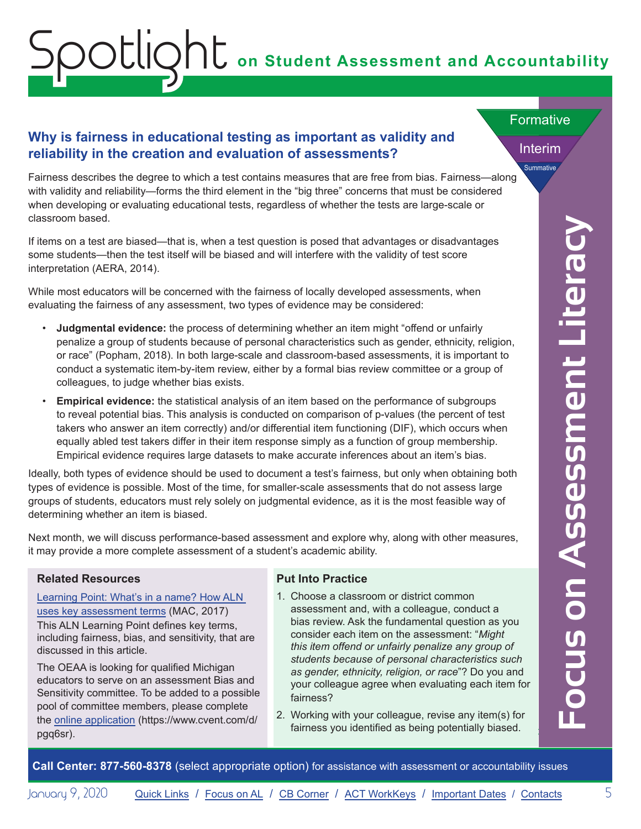#### <span id="page-4-0"></span>**Why is fairness in educational testing as important as validity and reliability in the creation and evaluation of assessments?**

Fairness describes the degree to which a test contains measures that are free from bias. Fairness—along with validity and reliability—forms the third element in the "big three" concerns that must be considered when developing or evaluating educational tests, regardless of whether the tests are large-scale or classroom based.

If items on a test are biased—that is, when a test question is posed that advantages or disadvantages some students—then the test itself will be biased and will interfere with the validity of test score interpretation (AERA, 2014).

While most educators will be concerned with the fairness of locally developed assessments, when evaluating the fairness of any assessment, two types of evidence may be considered:

- **Judgmental evidence:** the process of determining whether an item might "offend or unfairly penalize a group of students because of personal characteristics such as gender, ethnicity, religion, or race" (Popham, 2018). In both large-scale and classroom-based assessments, it is important to conduct a systematic item-by-item review, either by a formal bias review committee or a group of colleagues, to judge whether bias exists.
- **Empirical evidence:** the statistical analysis of an item based on the performance of subgroups to reveal potential bias. This analysis is conducted on comparison of p-values (the percent of test takers who answer an item correctly) and/or differential item functioning (DIF), which occurs when equally abled test takers differ in their item response simply as a function of group membership. Empirical evidence requires large datasets to make accurate inferences about an item's bias.

Ideally, both types of evidence should be used to document a test's fairness, but only when obtaining both types of evidence is possible. Most of the time, for smaller-scale assessments that do not assess large groups of students, educators must rely solely on judgmental evidence, as it is the most feasible way of determining whether an item is biased.

Next month, we will discuss performance-based assessment and explore why, along with other measures, it may provide a more complete assessment of a student's academic ability.

#### **Related Resources**

Learning Point: What's in a name? How ALN [uses key assessment terms](http://bit.ly/LP-AssessmentTerms) (MAC, 2017) This ALN Learning Point defines key terms, including fairness, bias, and sensitivity, that are discussed in this article.

The OEAA is looking for qualified Michigan educators to serve on an assessment Bias and Sensitivity committee. To be added to a possible pool of committee members, please complete the [online application](https://www.cvent.com/d/pgq6sr) (https://www.cvent.com/d/ pgq6sr).

#### **Put Into Practice**

- 1. Choose a classroom or district common assessment and, with a colleague, conduct a bias review. Ask the fundamental question as you consider each item on the assessment: "*Might this item offend or unfairly penalize any group of students because of personal characteristics such as gender, ethnicity, religion, or race*"? Do you and your colleague agree when evaluating each item for fairness?
- 2. Working with your colleague, revise any item(s) for fairness you identified as being potentially biased.

*(Continued on next page)* **Focus on Assessment Literacy**

Interim

Summative

**Formative**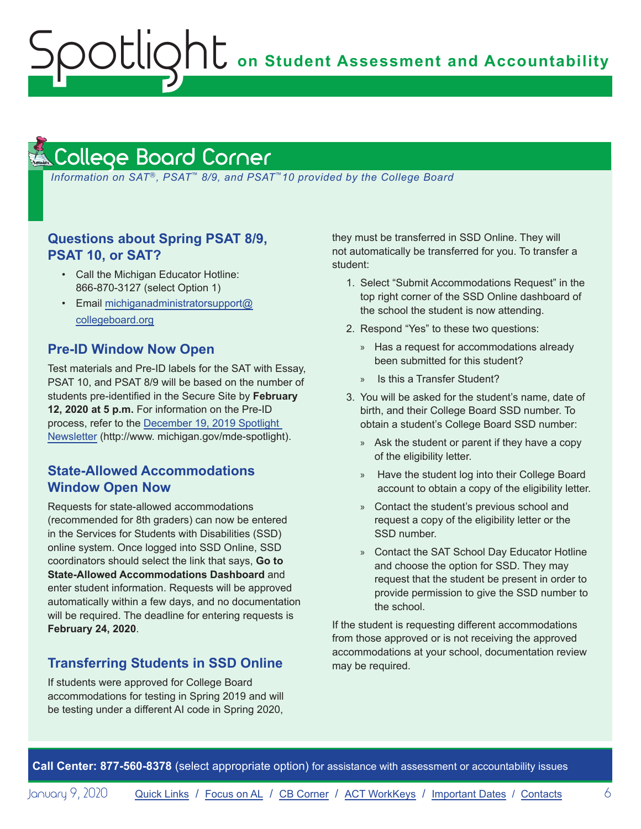**on Student Assessment and Accountability**

#### <span id="page-5-1"></span>College Board Corner **Reminders**

<span id="page-5-0"></span>Spotlight

*Information on SAT*®*, PSAT*™ *8/9, and PSAT*™*10 provided by the College Board*

#### **Questions about Spring PSAT 8/9, PSAT 10, or SAT?**

- Call the Michigan Educator Hotline: 866-870-3127 (select Option 1)
- Email [michiganadministratorsupport@](mailto:michiganadministratorsupport%40collegeboard.org?subject=) [collegeboard.org](mailto:michiganadministratorsupport%40collegeboard.org?subject=)

#### **Pre-ID Window Now Open**

Test materials and Pre-ID labels for the SAT with Essay, PSAT 10, and PSAT 8/9 will be based on the number of students pre-identified in the Secure Site by **February 12, 2020 at 5 p.m.** For information on the Pre-ID process, refer to the [December 19, 2019 Spotlight](https://www.michigan.gov/documents/mde/Spotlight_12-19-19_674462_7.pdf)  [Newsletter](https://www.michigan.gov/documents/mde/Spotlight_12-19-19_674462_7.pdf) (http://www. michigan.gov/mde-spotlight).

#### **State-Allowed Accommodations Window Open Now**

Requests for state-allowed accommodations (recommended for 8th graders) can now be entered in the Services for Students with Disabilities (SSD) online system. Once logged into SSD Online, SSD coordinators should select the link that says, **Go to State-Allowed Accommodations Dashboard** and enter student information. Requests will be approved automatically within a few days, and no documentation will be required. The deadline for entering requests is **February 24, 2020**.

#### **Transferring Students in SSD Online**

If students were approved for College Board accommodations for testing in Spring 2019 and will be testing under a different AI code in Spring 2020,

they must be transferred in SSD Online. They will not automatically be transferred for you. To transfer a student:

- 1. Select "Submit Accommodations Request" in the top right corner of the SSD Online dashboard of the school the student is now attending.
- 2. Respond "Yes" to these two questions:
	- » Has a request for accommodations already been submitted for this student?
	- » Is this a Transfer Student?
- 3. You will be asked for the student's name, date of birth, and their College Board SSD number. To obtain a student's College Board SSD number:
	- » Ask the student or parent if they have a copy of the eligibility letter.
	- » Have the student log into their College Board account to obtain a copy of the eligibility letter.
	- » Contact the student's previous school and request a copy of the eligibility letter or the SSD number.
	- » Contact the SAT School Day Educator Hotline and choose the option for SSD. They may request that the student be present in order to provide permission to give the SSD number to the school.

If the student is requesting different accommodations from those approved or is not receiving the approved accommodations at your school, documentation review may be required.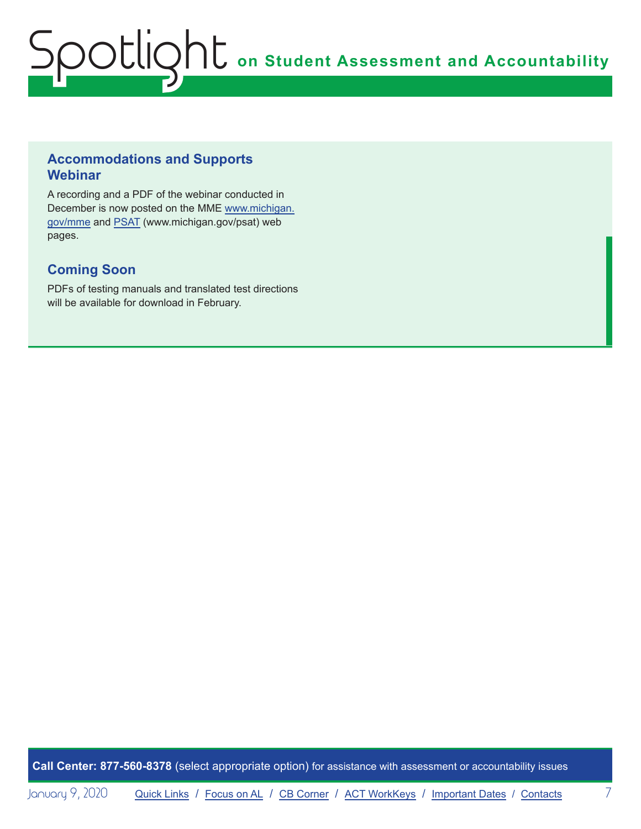#### **Accommodations and Supports Webinar**

A recording and a PDF of the webinar conducted in December is now posted on the MME [www.michigan.](www.michigan.gov/mme) [gov/mme](www.michigan.gov/mme) and [PSAT](http://www.michigan.gov/psat) (www.michigan.gov/psat) web pages.

### **Coming Soon**

PDFs of testing manuals and translated test directions will be available for download in February.

**Call Center: 877-560-8378** (select appropriate option) for assistance with assessment or accountability issues

January 9, 2020 [Quick Links](#page-0-0) / [Focus on AL](#page-4-0) / [CB Corner](#page-5-1) / [ACT WorkKeys](#page-7-0) / [Important Dates](#page-8-1) / [Contacts](#page-9-1) 7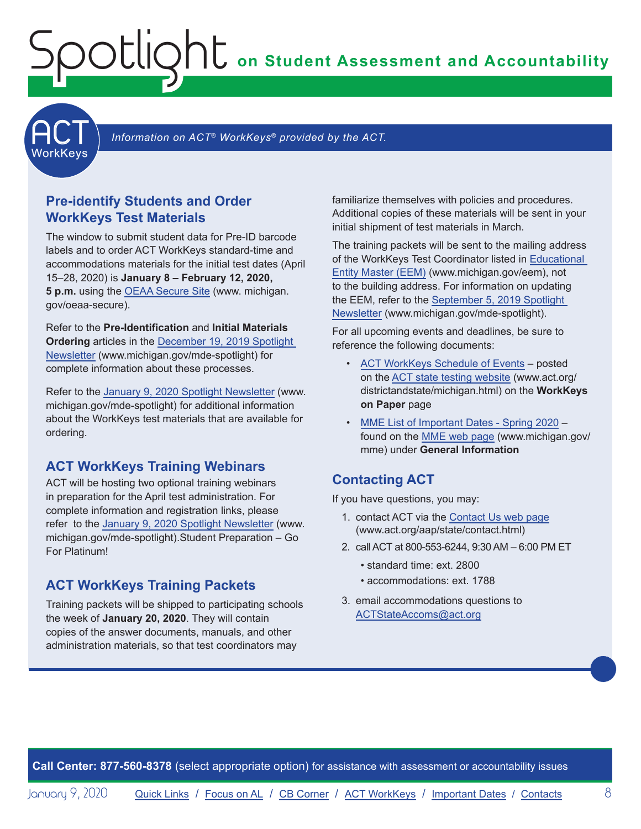**on Student Assessment and Accountability**



Information on ACT<sup>®</sup> WorkKeys<sup>®</sup> provided by the ACT.

#### **Pre-identify Students and Order WorkKeys Test Materials**

<span id="page-7-0"></span>Spotlight

The window to submit student data for Pre-ID barcode labels and to order ACT WorkKeys standard-time and accommodations materials for the initial test dates (April 15–28, 2020) is **January 8 – February 12, 2020, 5 p.m.** using the [OEAA Secure Site](http://www.michigan.gov/oeaa-secure) (www. michigan. gov/oeaa-secure).

Refer to the **Pre-Identification** and **Initial Materials Ordering** articles in the [December 19, 2019 Spotlight](https://www.michigan.gov/documents/mde/Spotlight_12-19-19_674462_7.pdf)  [Newsletter](https://www.michigan.gov/documents/mde/Spotlight_12-19-19_674462_7.pdf) (www.michigan.gov/mde-spotlight) for complete information about these processes.

Refer to the [January 9, 2020 Spotlight Newsletter](https://www.michigan.gov/documents/mde/Spotlight_1-9-20_676327_7.pdf) (www. michigan.gov/mde-spotlight) for additional information about the WorkKeys test materials that are available for ordering.

#### **ACT WorkKeys Training Webinars**

ACT will be hosting two optional training webinars in preparation for the April test administration. For complete information and registration links, please refer to the [January 9, 2020 Spotlight Newsletter](https://www.michigan.gov/documents/mde/Spotlight_1-9-20_676327_7.pdf) (www. michigan.gov/mde-spotlight).Student Preparation – Go For Platinum!

#### **ACT WorkKeys Training Packets**

Training packets will be shipped to participating schools the week of **January 20, 2020**. They will contain copies of the answer documents, manuals, and other administration materials, so that test coordinators may

familiarize themselves with policies and procedures. Additional copies of these materials will be sent in your initial shipment of test materials in March.

The training packets will be sent to the mailing address of the WorkKeys Test Coordinator listed in [Educational](www.michigan.gov/EEM)  [Entity Master \(EEM\)](www.michigan.gov/EEM) (www.michigan.gov/eem), not to the building address. For information on updating the EEM, refer to the [September 5, 2019 Spotlight](https://www.michigan.gov/documents/mde/Spotlight_9-5-19_665116_7.pdf)  [Newsletter](https://www.michigan.gov/documents/mde/Spotlight_9-5-19_665116_7.pdf) (www.michigan.gov/mde-spotlight).

For all upcoming events and deadlines, be sure to reference the following documents:

- [ACT WorkKeys Schedule of Events](http://www.act.org/content/dam/act/unsecured/documents/ScheduleofEventsWorkKeys-MI.pdf) posted on the [ACT state testing website](http://www.act.org/content/act/en/products-and-services/state-and-district-solutions/michigan.html) (www.act.org/ districtandstate/michigan.html) on the **WorkKeys on Paper** page
- [MME List of Important Dates Spring 2020](https://www.michigan.gov/documents/mde/MME_List_of_Important_Dates_668755_7.pdf) found on the [MME web page](www.michigan.gov/mme) (www.michigan.gov/ mme) under **General Information**

#### **Contacting ACT**

If you have questions, you may:

- 1. contact ACT via the [Contact Us web page](http://www.act.org/aap/state/contact.html) [\(www.act.org/aap/state/contact.html](https://www.act.org/aap/state/contact.html))
- 2. call ACT at 800-553-6244, 9:30 AM 6:00 PM ET
	- standard time: ext. 2800
	- accommodations: ext. 1788
- 3. email accommodations questions to [ACTStateAccoms@act.org](mailto:ACTStateAccoms%40act.org?subject=)

**Call Center: 877-560-8378** (select appropriate option) for assistance with assessment or accountability issues

January 9, 2020 [Quick Links](#page-0-0) / [Focus on AL](#page-4-0) / [CB Corner](#page-5-1) / ACT WorkKeys / [Important Dates](#page-8-1) / [Contacts](#page-9-1) 8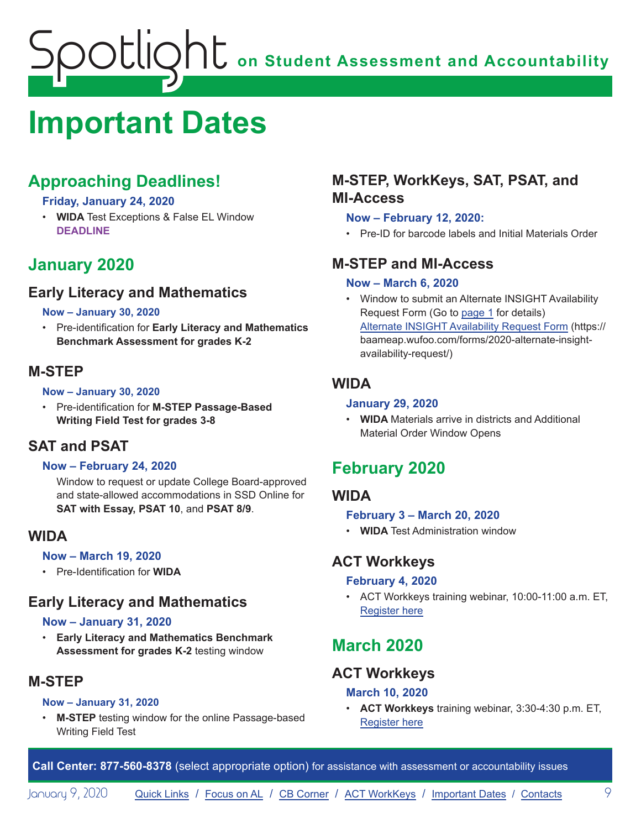# <span id="page-8-1"></span><span id="page-8-0"></span>**Important Dates**

## **Approaching Deadlines!**

#### **Friday, January 24, 2020**

• **WIDA** Test Exceptions & False EL Window **DEADLINE**

## **January 2020**

## **Early Literacy and Mathematics**

#### **Now – January 30, 2020**

• Pre-identification for **Early Literacy and Mathematics Benchmark Assessment for grades K-2**

## **M-STEP**

#### **Now – January 30, 2020**

• Pre-identification for **M-STEP Passage-Based Writing Field Test for grades 3-8**

## **SAT and PSAT**

#### **Now – February 24, 2020**

Window to request or update College Board-approved and state-allowed accommodations in SSD Online for **SAT with Essay, PSAT 10**, and **PSAT 8/9**.

#### **WIDA**

#### **Now – March 19, 2020**

• Pre-Identification for **WIDA**

## **Early Literacy and Mathematics**

#### **Now – January 31, 2020**

• **Early Literacy and Mathematics Benchmark Assessment for grades K-2** testing window

## **M-STEP**

#### **Now – January 31, 2020**

**M-STEP** testing window for the online Passage-based Writing Field Test

## **M-STEP, WorkKeys, SAT, PSAT, and MI-Access**

#### **Now – February 12, 2020:**

• Pre-ID for barcode labels and Initial Materials Order

## **M-STEP and MI-Access**

#### **Now – March 6, 2020**

• Window to submit an Alternate INSIGHT Availability Request Form (Go to [page 1](#page-0-1) for details) [Alternate INSIGHT Availability Request Form](https://baameap.wufoo.com/forms/2020-alternate-insight-availability-request/) (https:// baameap.wufoo.com/forms/2020-alternate-insightavailability-request/)

## **WIDA**

#### **January 29, 2020**

• **WIDA** Materials arrive in districts and Additional Material Order Window Opens

## **February 2020**

## **WIDA**

#### **February 3 – March 20, 2020**

• **WIDA** Test Administration window

## **ACT Workkeys**

#### **February 4, 2020**

• ACT Workkeys training webinar, 10:00-11:00 a.m. ET, [Register here](https://event.on24.com/wcc/r/2124038/11177BB2C08057557E1BDD10CF935708)

## **March 2020**

## **ACT Workkeys**

#### **March 10, 2020**

• **ACT Workkeys** training webinar, 3:30-4:30 p.m. ET, [Register here](https://event.on24.com/wcc/r/2124036/C50E209AAEDE2B03029BDE55DA459C17)

**Call Center: 877-560-8378** (select appropriate option) for assistance with assessment or accountability issues

January 9, 2020 [Quick Links](#page-0-0) / [Focus on AL](#page-4-0) / [CB Corner](#page-5-1) / [ACT WorkKeys](#page-7-0) / [Important Dates](#page-8-1) / [Contacts](#page-9-1) 9